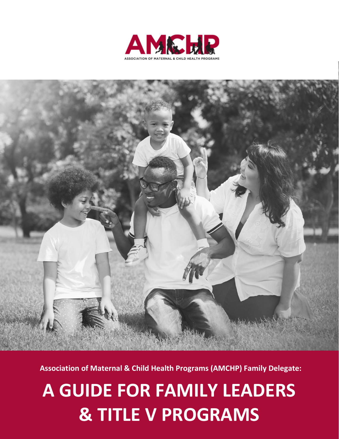



**Association of Maternal & Child Health Programs (AMCHP) Family Delegate:**

# **A GUIDE FOR FAMILY LEADERS & TITLE V PROGRAMS**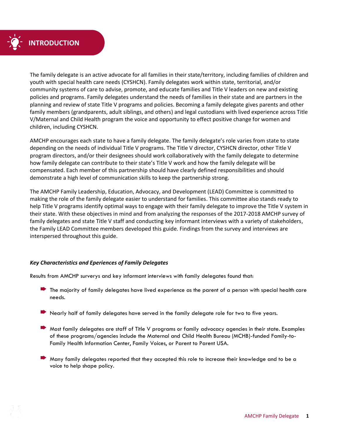

The family delegate is an active advocate for all families in their state/territory, including families of children and youth with special health care needs (CYSHCN). Family delegates work within state, territorial, and/or community systems of care to advise, promote, and educate families and Title V leaders on new and existing policies and programs. Family delegates understand the needs of families in their state and are partners in the planning and review of state Title V programs and policies. Becoming a family delegate gives parents and other family members (grandparents, adult siblings, and others) and legal custodians with lived experience across Title V/Maternal and Child Health program the voice and opportunity to effect positive change for women and children, including CYSHCN.

AMCHP encourages each state to have a family delegate. The family delegate's role varies from state to state depending on the needs of individual Title V programs. The Title V director, CYSHCN director, other Title V program directors, and/or their designees should work collaboratively with the family delegate to determine how family delegate can contribute to their state's Title V work and how the family delegate will be compensated. Each member of this partnership should have clearly defined responsibilities and should demonstrate a high level of communication skills to keep the partnership strong.

The AMCHP Family Leadership, Education, Advocacy, and Development (LEAD) Committee is committed to making the role of the family delegate easier to understand for families. This committee also stands ready to help Title V programs identify optimal ways to engage with their family delegate to improve the Title V system in their state. With these objectives in mind and from analyzing the responses of the 2017-2018 AMCHP survey of family delegates and state Title V staff and conducting key informant interviews with a variety of stakeholders, the Family LEAD Committee members developed this guide. Findings from the survey and interviews are interspersed throughout this guide.

#### *Key Characteristics and Eperiences of Family Delegates*

Results from AMCHP surverys and key informant interviews with family delegates found that:

- The majority of family delegates have lived experience as the parent of a person with special health care needs.
- Nearly half of family delegates have served in the family delegate role for two to five years.
- Most family delegates are staff of Title V programs or family advocacy agencies in their state. Examples of these programs/agencies include the Maternal and Child Health Bureau (MCHB)-funded Family-to-Family Health Information Center, Family Voices, or Parent to Parent USA.
- Many family delegates reported that they accepted this role to increase their knowledge and to be a voice to help shape policy.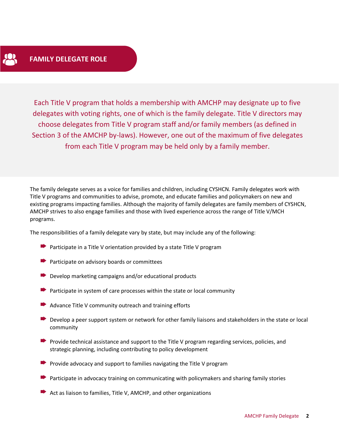Each Title V program that holds a membership with AMCHP may designate up to five delegates with voting rights, one of which is the family delegate. Title V directors may choose delegates from Title V program staff and/or family members (as defined in Section 3 of the AMCHP by-laws). However, one out of the maximum of five delegates from each Title V program may be held only by a family member.

The family delegate serves as a voice for families and children, including CYSHCN. Family delegates work with Title V programs and communities to advise, promote, and educate families and policymakers on new and existing programs impacting families. Although the majority of family delegates are family members of CYSHCN, AMCHP strives to also engage families and those with lived experience across the range of Title V/MCH programs.

The responsibilities of a family delegate vary by state, but may include any of the following:

- $\blacktriangleright$  Participate in a Title V orientation provided by a state Title V program
- $\blacktriangleright$  Participate on advisory boards or committees
- $\blacktriangleright$  Develop marketing campaigns and/or educational products
- Participate in system of care processes within the state or local community
- $\blacktriangleright$  Advance Title V community outreach and training efforts
- Develop a peer support system or network for other family liaisons and stakeholders in the state or local community
- **Provide technical assistance and support to the Title V program regarding services, policies, and** strategic planning, including contributing to policy development
- **Provide advocacy and support to families navigating the Title V program**
- Participate in advocacy training on communicating with policymakers and sharing family stories
- $\blacktriangleright$  Act as liaison to families, Title V, AMCHP, and other organizations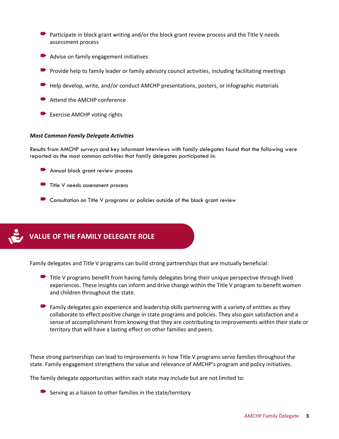- $\rightarrow$  Participate in block grant writing and/or the block grant review process and the Title V needs assessment process
- Advise on family engagement initiatives
- Provide help to family leader or family advisory council activities, including facilitating meetings
- Help develop, write, and/or conduct AMCHP presentations, posters, or infographic materials
- Attend the AMCHP conference
- Exercise AMCHP voting rights

#### *Most Common Family Delegate Activities*

Results from AMCHP surveys and key informant interviews with family delegates found that the following were reported as the most common activities that family delegates participated in:

- Annual block grant review process
- $\blacktriangleright$  Title V needs assessment process
- Consultation on Title V programs or policies outside of the block grant review

## **VALUE OF THE FAMILY DELEGATE ROLE**

Family delegates and Title V programs can build strong partnerships that are mutually beneficial:

- $\blacktriangleright$  Title V programs benefit from having family delegates bring their unique perspective through lived experiences. These insights can inform and drive change within the Title V program to benefit women and children throughout the state.
- Family delegates gain experience and leadership skills partnering with a variety of entities as they collaborate to effect positive change in state programs and policies. They also gain satisfaction and a sense of accomplishment from knowing that they are contributing to improvements within their state or territory that will have a lasting effect on other families and peers.

These strong partnerships can lead to improvements in how Title V programs serve families throughout the state. Family engagement strengthens the value and relevance of AMCHP's program and policy initiatives.

The family delegate opportunities within each state may include but are not limited to:

Serving as a liaison to other families in the state/territory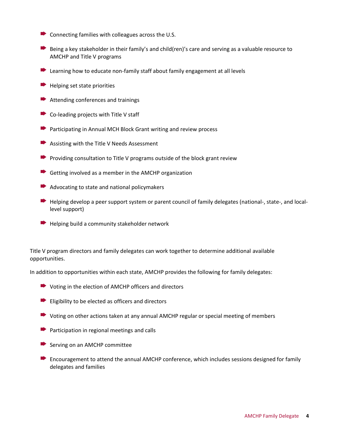- $\blacktriangleright$  Connecting families with colleagues across the U.S.
- Being a key stakeholder in their family's and child(ren)'s care and serving as a valuable resource to AMCHP and Title V programs
- $\blacktriangleright$  Learning how to educate non-family staff about family engagement at all levels
- Helping set state priorities
- **■** Attending conferences and trainings
- Co-leading projects with Title V staff
- **Participating in Annual MCH Block Grant writing and review process**
- Assisting with the Title V Needs Assessment
- **Providing consultation to Title V programs outside of the block grant review**
- $\blacktriangleright$  Getting involved as a member in the AMCHP organization
- $\blacktriangleright$  Advocating to state and national policymakers
- $\blacktriangleright$  Helping develop a peer support system or parent council of family delegates (national-, state-, and locallevel support)
- $\rightarrow$  Helping build a community stakeholder network

Title V program directors and family delegates can work together to determine additional available opportunities.

In addition to opportunities within each state, AMCHP provides the following for family delegates:

- **►** Voting in the election of AMCHP officers and directors
- $\blacktriangleright$  Eligibility to be elected as officers and directors
- Voting on other actions taken at any annual AMCHP regular or special meeting of members
- $\blacktriangleright$  Participation in regional meetings and calls
- $\blacktriangleright$  Serving on an AMCHP committee
- $\blacktriangleright$  Encouragement to attend the annual AMCHP conference, which includes sessions designed for family delegates and families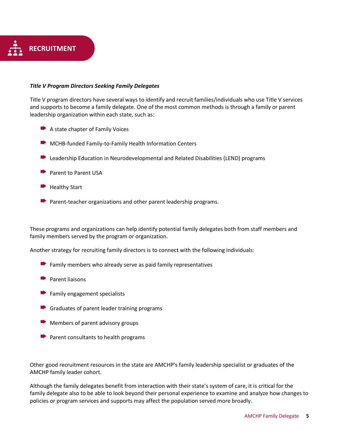

#### *Title V Program Directors Seeking Family Delegates*

Title V program directors have several ways to identify and recruit families/individuals who use Title V services and supports to become a family delegate. One of the most common methods is through a family or parent leadership organization within each state, such as:

- $\blacktriangleright$  A state chapter of Family Voices
- **MCHB-funded Family-to-Family Health Information Centers**
- Leadership Education in Neurodevelopmental and Related Disabilities (LEND) programs
- **Parent to Parent USA**
- $\blacktriangleright$  Healthy Start
- $\blacktriangleright$  Parent-teacher organizations and other parent leadership programs.

These programs and organizations can help identify potential family delegates both from staff members and family members served by the program or organization.

Another strategy for recruiting family directors is to connect with the following individuals:

- $\blacktriangleright$  Family members who already serve as paid family representatives
- Parent liaisons
- $\blacktriangleright$  Family engagement specialists
- $\blacktriangleright$  Graduates of parent leader training programs
- $\blacktriangleright$  Members of parent advisory groups
- $\blacktriangleright$  Parent consultants to health programs

Other good recruitment resources in the state are AMCHP's family leadership specialist or graduates of the AMCHP family leader cohort.

Although the family delegates benefit from interaction with their state's system of care, it is critical for the family delegate also to be able to look beyond their personal experience to examine and analyze how changes to policies or program services and supports may affect the population served more broadly.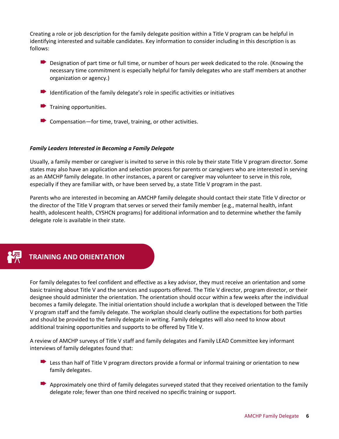Creating a role or job description for the family delegate position within a Title V program can be helpful in identifying interested and suitable candidates. Key information to consider including in this description is as follows:

- Designation of part time or full time, or number of hours per week dedicated to the role. (Knowing the necessary time commitment is especially helpful for family delegates who are staff members at another organization or agency.)
- Identification of the family delegate's role in specific activities or initiatives
- $\blacktriangleright$  Training opportunities.
- $\blacktriangleright$  Compensation—for time, travel, training, or other activities.

#### *Family Leaders Interested in Becoming a Family Delegate*

Usually, a family member or caregiver is invited to serve in this role by their state Title V program director. Some states may also have an application and selection process for parents or caregivers who are interested in serving as an AMCHP family delegate. In other instances, a parent or caregiver may volunteer to serve in this role, especially if they are familiar with, or have been served by, a state Title V program in the past.

Parents who are interested in becoming an AMCHP family delegate should contact their state [Title V director or](http://www.amchp.org/Policy-Advocacy/MCHAdvocacy/Pages/StateProfiles.aspx)  the director of the Title V program [that serves or served their family member \(e.g.,](http://www.amchp.org/Policy-Advocacy/MCHAdvocacy/Pages/StateProfiles.aspx) maternal health, infant [health, adolescent health, CYSHCN programs](http://www.amchp.org/Policy-Advocacy/MCHAdvocacy/Pages/StateProfiles.aspx)) for additional information and to determine whether the family delegate role is available in their state.



## **TRAINING AND ORIENTATION**

For family delegates to feel confident and effective as a key advisor, they must receive an orientation and some basic training about Title V and the services and supports offered. The Title V director, program director, or their designee should administer the orientation. The orientation should occur within a few weeks after the individual becomes a family delegate. The initial orientation should include a workplan that is developed between the Title V program staff and the family delegate. The workplan should clearly outline the expectations for both parties and should be provided to the family delegate in writing. Family delegates will also need to know about additional training opportunities and supports to be offered by Title V.

A review of AMCHP surveys of Title V staff and family delegates and Family LEAD Committee key informant interviews of family delegates found that:

- Less than half of Title V program directors provide a formal or informal training or orientation to new family delegates.
- Approximately one third of family delegates surveyed stated that they received orientation to the family delegate role; fewer than one third received no specific training or support.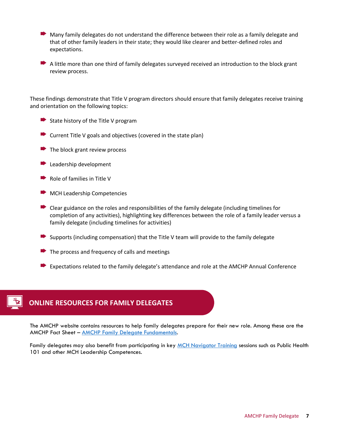- Many family delegates do not understand the difference between their role as a family delegate and that of other family leaders in their state; they would like clearer and better-defined roles and expectations.
- A little more than one third of family delegates surveyed received an introduction to the block grant review process.

These findings demonstrate that Title V program directors should ensure that family delegates receive training and orientation on the following topics:

- $\blacktriangleright$  State history of the Title V program
- $\rightarrow$  Current Title V goals and objectives (covered in the state plan)
- $\blacktriangleright$  The block grant review process
- **Leadership development**
- $\blacktriangleright$  Role of families in Title V
- **MCH Leadership Competencies**
- $\blacktriangleright$  Clear guidance on the roles and responsibilities of the family delegate (including timelines for completion of any activities), highlighting key differences between the role of a family leader versus a family delegate (including timelines for activities)
- Supports (including compensation) that the Title V team will provide to the family delegate
- $\blacktriangleright$  The process and frequency of calls and meetings
- Expectations related to the family delegate's attendance and role at the AMCHP Annual Conference



## **ONLINE RESOURCES FOR FAMILY DELEGATES**

The AMCHP website contains resources to help family delegates prepare for their new role. Among these are the AMCHP Fact Sheet – [AMCHP Family Delegate Fundamentals.](http://www.amchp.org/programsandtopics/family-engagement/Documents/FD%20description%20new%202012.pdf)

Family delegates may also benefit from participating in key [MCH Navigator Training](https://www.mchnavigator.org/trainings/competencies.php) sessions such as Public Health 101 and other MCH Leadership Competences.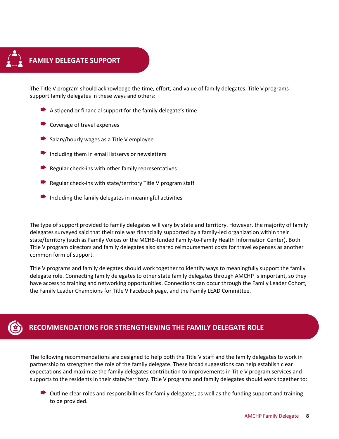

The Title V program should acknowledge the time, effort, and value of family delegates. Title V programs support family delegates in these ways and others:

- $\blacktriangleright$  A stipend or financial support for the family delegate's time
- Coverage of travel expenses
- Salary/hourly wages as a Title V employee
- $\blacktriangleright$  Including them in email listservs or newsletters
- Regular check-ins with other family representatives
- Regular check-ins with state/territory Title V program staff
- $\blacktriangleright$  Including the family delegates in meaningful activities

The type of support provided to family delegates will vary by state and territory. However, the majority of family delegates surveyed said that their role was financially supported by a family-led organization within their state/territory (such as Family Voices or the MCHB-funded Family-to-Family Health Information Center). Both Title V program directors and family delegates also shared reimbursement costs for travel expenses as another common form of support.

Title V programs and family delegates should work together to identify ways to meaningfully support the family delegate role. Connecting family delegates to other state family delegates through AMCHP is important, so they have access to training and networking opportunities. Connections can occur through the Family Leader Cohort, the Family Leader Champions for Title V Facebook page, and the Family LEAD Committee.



## **RECOMMENDATIONS FOR STRENGTHENING THE FAMILY DELEGATE ROLE**

The following recommendations are designed to help both the Title V staff and the family delegates to work in partnership to strengthen the role of the family delegate. These broad suggestions can help establish clear expectations and maximize the family delegates contribution to improvements in Title V program services and supports to the residents in their state/territory. Title V programs and family delegates should work together to:

 $\triangleright$  Outline clear roles and responsibilities for family delegates; as well as the funding support and training to be provided.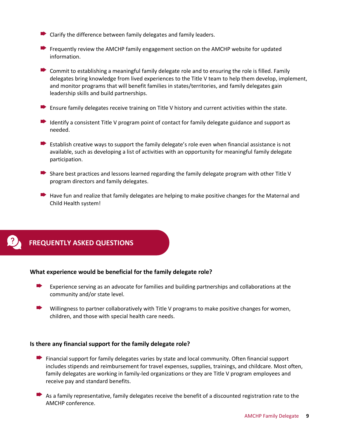- $\blacktriangleright$  Clarify the difference between family delegates and family leaders.
- $\rightarrow$  Frequently review the AMCHP family engagement section on the AMCHP website for updated information.
- $\triangleright$  Commit to establishing a meaningful family delegate role and to ensuring the role is filled. Family delegates bring knowledge from lived experiences to the Title V team to help them develop, implement, and monitor programs that will benefit families in states/territories, and family delegates gain leadership skills and build partnerships.
- $\blacktriangleright$  Ensure family delegates receive training on Title V history and current activities within the state.
- Identify a consistent Title V program point of contact for family delegate guidance and support as needed.
- $\blacktriangleright$  Establish creative ways to support the family delegate's role even when financial assistance is not available, such as developing a list of activities with an opportunity for meaningful family delegate participation.
- Share best practices and lessons learned regarding the family delegate program with other Title V program directors and family delegates.
- Have fun and realize that family delegates are helping to make positive changes for the Maternal and Child Health system!



## **FREQUENTLY ASKED QUESTIONS**

#### **What experience would be beneficial for the family delegate role?**

- Experience serving as an advocate for families and building partnerships and collaborations at the community and/or state level.
- Willingness to partner collaboratively with Title V programs to make positive changes for women, children, and those with special health care needs.

#### **Is there any financial support for the family delegate role?**

- Financial support for family delegates varies by state and local community. Often financial support includes stipends and reimbursement for travel expenses, supplies, trainings, and childcare. Most often, family delegates are working in family-led organizations or they are Title V program employees and receive pay and standard benefits.
- As a family representative, family delegates receive the benefit of a discounted registration rate to the AMCHP conference.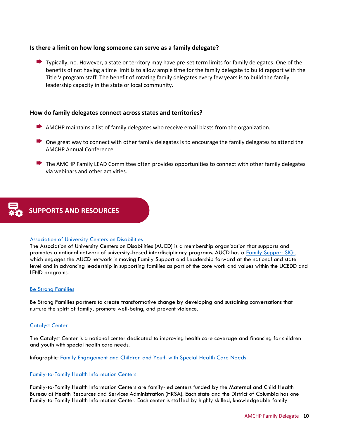#### **Is there a limit on how long someone can serve as a family delegate?**

 $\blacktriangleright$  Typically, no. However, a state or territory may have pre-set term limits for family delegates. One of the benefits of not having a time limit is to allow ample time for the family delegate to build rapport with the Title V program staff. The benefit of rotating family delegates every few years is to build the family leadership capacity in the state or local community.

#### **How do family delegates connect across states and territories?**

- AMCHP maintains a list of family delegates who receive email blasts from the organization.
- $\triangleright$  One great way to connect with other family delegates is to encourage the family delegates to attend the AMCHP Annual Conference.
- $\blacktriangleright$  The AMCHP Family LEAD Committee often provides opportunities to connect with other family delegates via webinars and other activities.



#### [Association of University Centers on Disabilities](https://www.aucd.org/template/page.cfm?id=850)

The Association of University Centers on Disabilities (AUCD) is a membership organization that supports and promotes a national network of university-based interdisciplinary programs. AUCD has a Family Support SIG, which engages the AUCD network in moving Family Support and Leadership forward at the national and state level and in advancing leadership in supporting families as part of the core work and values within the UCEDD and LEND programs.

#### [Be Strong Families](https://www.bestrongfamilies.org/)

Be Strong Families partners to create transformative change by developing and sustaining conversations that nurture the spirit of family, promote well-being, and prevent violence.

#### [Catalyst Center](http://www.hdwg.org/catalyst/)

The Catalyst Center is a national center dedicated to improving health care coverage and financing for children and youth with special health care needs.

Infographic: [Family Engagement and Children and Youth with Special Health Care Needs](https://ciswh.org/wp-content/uploads/2019/03/Infographic_Family_Engagement.pdf)

#### [Family-to-Family Health Information Centers](https://familyvoices.org/lfpp/f2fs/)

Family-to-Family Health Information Centers are family-led centers funded by the Maternal and Child Health Bureau at Health Resources and Services Administration (HRSA). Each state and the District of Columbia has one Family-to-Family Health Information Center. Each center is staffed by highly skilled, knowledgeable family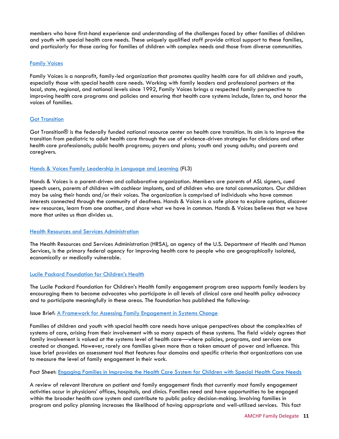members who have first-hand experience and understanding of the challenges faced by other families of children and youth with special health care needs. These uniquely qualified staff provide critical support to these families, and particularly for those caring for families of children with complex needs and those from diverse communities.

#### [Family Voices](http://www.familyvoices.org/)

Family Voices is a nonprofit, family-led organization that promotes quality health care for all children and youth, especially those with special health care needs. Working with family leaders and professional partners at the local, state, regional, and national levels since 1992, Family Voices brings a respected family perspective to improving health care programs and policies and ensuring that health care systems include, listen to, and honor the voices of families.

#### **[Got Transition](https://www.gottransition.org/)**

Got Transition® is the federally funded national resource center on health care transition. Its aim is to improve the transition from pediatric to adult health care through the use of evidence-driven strategies for clinicians and other health care professionals; public health programs; payers and plans; youth and young adults; and parents and caregivers.

#### Hands [& Voices Family Leadership in Language and Learning](https://handsandvoices.org/fl3/) (FL3)

Hands & Voices is a parent-driven and collaborative organization. Members are parents of ASL signers, cued speech users, parents of children with cochlear implants, and of children who are total communicators. Our children may be using their hands and/or their voices. The organization is comprised of individuals who have common interests connected through the community of deafness. Hands & Voices is a safe place to explore options, discover new resources, learn from one another, and share what we have in common. Hands & Voices believes that we have more that unites us than divides us.

#### [Health Resources and Services Administration](http://mchb.hrsa.gov/)

The Health Resources and Services Administration (HRSA), an agency of the U.S. Department of Health and Human Services, is the primary federal agency for improving health care to people who are geographically isolated, economically or medically vulnerable.

#### [Lucile Packard Foundation for Children's Health](https://www.lpfch.org/)

The Lucile Packard Foundation for Children's Health family engagement program area supports family leaders by encouraging them to become advocates who participate in all levels of clinical care and health policy advocacy and to participate meaningfully in these areas. The foundation has published the following:

#### Issue Brief: A Framework for [Assessing Family Engagement in Systems Change](https://www.lpfch.org/publication/framework-assessing-family-engagement-systems-change)

Families of children and youth with special health care needs have unique perspectives about the complexities of systems of care, arising from their involvement with so many aspects of these systems. The field widely agrees that family involvement is valued at the systems level of health care—where policies, programs, and services are created or changed. However, rarely are families given more than a token amount of power and influence. This issue brief provides an assessment tool that features four domains and specific criteria that organizations can use to measure the level of family engagement in their work.

#### Fact Sheet: [Engaging Families in Improving the Health Care System for Children with Special Health Care Needs](https://www.lpfch.org/publication/engaging-families-improving-health-care-system-children-special-health-care-needs)

A review of relevant literature on patient and family engagement finds that currently most family engagement activities occur in physicians' offices, hospitals, and clinics. Families need and have opportunities to be engaged within the broader health care system and contribute to public policy decision-making. Involving families in program and policy planning increases the likelihood of having appropriate and well-utilized services. This fact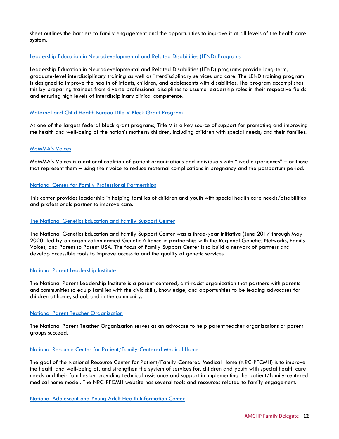sheet outlines the barriers to family engagement and the opportunities to improve it at all levels of the health care system.

#### [Leadership Education in Neurodevelopmental and Related Disabilities \(LEND\) Programs](https://www.aucd.org/template/page.cfm?id=473)

Leadership Education in Neurodevelopmental and Related Disabilities (LEND) programs provide long-term, graduate-level interdisciplinary training as well as interdisciplinary services and care. The LEND training program is designed to improve the health of infants, children, and adolescents with disabilities. The program accomplishes this by preparing trainees from diverse professional disciplines to assume leadership roles in their respective fields and ensuring high levels of interdisciplinary clinical competence.

#### Maternal and [Child Health Bureau Title V Block Grant Program](https://mchb.hrsa.gov/maternal-child-health-initiatives/title-v-maternal-and-child-health-services-block-grant-program)

As one of the largest federal block grant programs, Title V is a key source of support for promoting and improving the health and well-being of the nation's mothers; children, including children with special needs; and their families.

#### [MoMMA's Voices](https://www.mommasvoices.org/)

MoMMA's Voices is a national coalition of patient organizations and individuals with "lived experiences" – or those that represent them – using their voice to reduce maternal complications in pregnancy and the postpartum period.

#### [National Center for Family Professional Partnerships](http://www.fv-ncfpp.org/)

This center provides leadership in helping families of children and youth with special health care needs/disabilities and professionals partner to improve care.

#### [The National Genetics Education and Family Support Center](https://www.expectinghealth.org/programs/national-genetics-education-and-family-support-center)

The National Genetics Education and Family Support Center was a three-year initiative (June 2017 through May 2020) led by an organization named [Genetic Alliance](http://www.geneticalliance.org/) in partnership with the Regional Genetics Networks, [Family](http://familyvoices.org/)  [Voices,](http://familyvoices.org/) and Parent [to Parent USA.](http://www.p2pusa.org/) The focus of Family Support Center is to build a network of partners and develop accessible tools to improve access to and the quality of genetic services.

#### [National Parent Leadership Institute](https://parentswholead.org/)

The National Parent Leadership Institute is a parent-centered, anti-racist organization that partners with parents and communities to equip families with the civic skills, knowledge, and opportunities to be leading advocates for children at home, school, and in the community.

#### [National Parent Teacher Organization](http://www.pto.org/index.html)

The National Parent Teacher Organization serves as an advocate to help parent teacher organizations or parent groups succeed.

#### [National Resource Center for Patient/Family-Centered Medical Home](https://medicalhomeinfo.aap.org/Pages/default.aspx)

The goal of the National Resource Center for Patient/Family-Centered Medical Home (NRC-PFCMH) is to improve the health and well-being of, and strengthen the system of services for, children and youth with special health care needs and their families by providing technical assistance and support in implementing the patient/family-centered medical home model. The NRC-PFCMH website has several tools and resources related to family engagement.

[National Adolescent and Young Adult Health Information Center](https://nahic.ucsf.edu/resource-center/)